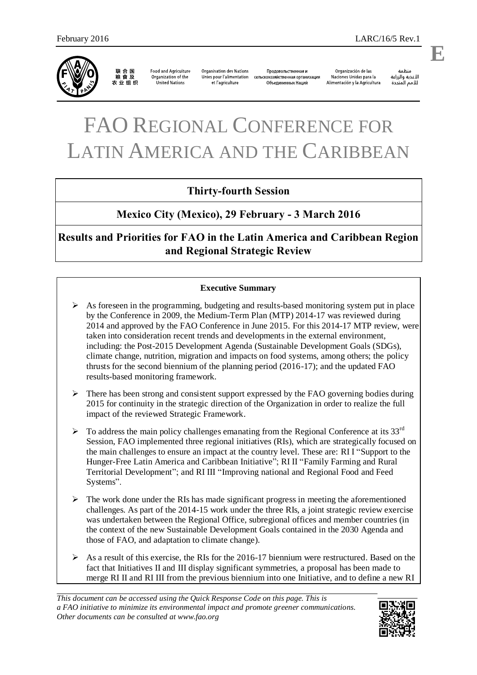

联合国<br>粮食及 农业组织

**Food and Agriculture** Organization of the United Nations

**Organisation des Nations** Unies pour l'alimentation сельскохозяйственная организация et l'agriculture

Продовольственная и Объединенных Наций

Organización de las Naciones Unidas para la Alimentación y la Agricultura

änhin الأغذية والزراعة للأمم المتحدة

# FAO REGIONAL CONFERENCE FOR LATIN AMERICA AND THE CARIBBEAN

# **Thirty-fourth Session**

# **Mexico City (Mexico), 29 February - 3 March 2016**

**Results and Priorities for FAO in the Latin America and Caribbean Region and Regional Strategic Review**

# **Executive Summary**

- $\triangleright$  As foreseen in the programming, budgeting and results-based monitoring system put in place by the Conference in 2009, the Medium-Term Plan (MTP) 2014-17 was reviewed during 2014 and approved by the FAO Conference in June 2015. For this 2014-17 MTP review, were taken into consideration recent trends and developments in the external environment, including: the Post-2015 Development Agenda (Sustainable Development Goals (SDGs), climate change, nutrition, migration and impacts on food systems, among others; the policy thrusts for the second biennium of the planning period (2016-17); and the updated FAO results-based monitoring framework.
- $\triangleright$  There has been strong and consistent support expressed by the FAO governing bodies during 2015 for continuity in the strategic direction of the Organization in order to realize the full impact of the reviewed Strategic Framework.
- $\triangleright$  To address the main policy challenges emanating from the Regional Conference at its 33<sup>rd</sup> Session, FAO implemented three regional initiatives (RIs), which are strategically focused on the main challenges to ensure an impact at the country level. These are: RI I "Support to the Hunger-Free Latin America and Caribbean Initiative"; RI II "Family Farming and Rural Territorial Development"; and RI III "Improving national and Regional Food and Feed Systems".
- $\triangleright$  The work done under the RIs has made significant progress in meeting the aforementioned challenges. As part of the 2014-15 work under the three RIs, a joint strategic review exercise was undertaken between the Regional Office, subregional offices and member countries (in the context of the new Sustainable Development Goals contained in the 2030 Agenda and those of FAO, and adaptation to climate change).
- $\triangleright$  As a result of this exercise, the RIs for the 2016-17 biennium were restructured. Based on the fact that Initiatives II and III display significant symmetries, a proposal has been made to merge RI II and RI III from the previous biennium into one Initiative, and to define a new RI

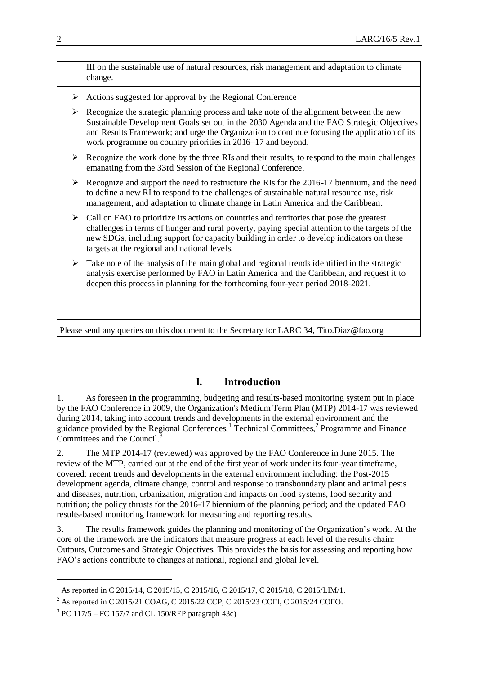III on the sustainable use of natural resources, risk management and adaptation to climate change.

- $\triangleright$  Actions suggested for approval by the Regional Conference
- $\triangleright$  Recognize the strategic planning process and take note of the alignment between the new Sustainable Development Goals set out in the 2030 Agenda and the FAO Strategic Objectives and Results Framework; and urge the Organization to continue focusing the application of its work programme on country priorities in 2016–17 and beyond.
- $\triangleright$  Recognize the work done by the three RIs and their results, to respond to the main challenges emanating from the 33rd Session of the Regional Conference.
- $\triangleright$  Recognize and support the need to restructure the RIs for the 2016-17 biennium, and the need to define a new RI to respond to the challenges of sustainable natural resource use, risk management, and adaptation to climate change in Latin America and the Caribbean.
- $\triangleright$  Call on FAO to prioritize its actions on countries and territories that pose the greatest challenges in terms of hunger and rural poverty, paying special attention to the targets of the new SDGs, including support for capacity building in order to develop indicators on these targets at the regional and national levels.
- $\triangleright$  Take note of the analysis of the main global and regional trends identified in the strategic analysis exercise performed by FAO in Latin America and the Caribbean, and request it to deepen this process in planning for the forthcoming four-year period 2018-2021.

Please send any queries on this document to the Secretary for LARC 34, Tito.Diaz@fao.org

# **I. Introduction**

1. As foreseen in the programming, budgeting and results-based monitoring system put in place by the FAO Conference in 2009, the Organization's Medium Term Plan (MTP) 2014-17 was reviewed during 2014, taking into account trends and developments in the external environment and the guidance provided by the Regional Conferences,  $1$  Technical Committees, $2$  Programme and Finance Committees and the Council.<sup>3</sup>

2. The MTP 2014-17 (reviewed) was approved by the FAO Conference in June 2015. The review of the MTP, carried out at the end of the first year of work under its four-year timeframe, covered: recent trends and developments in the external environment including: the Post-2015 development agenda, climate change, control and response to transboundary plant and animal pests and diseases, nutrition, urbanization, migration and impacts on food systems, food security and nutrition; the policy thrusts for the 2016-17 biennium of the planning period; and the updated FAO results-based monitoring framework for measuring and reporting results.

3. The results framework guides the planning and monitoring of the Organization's work. At the core of the framework are the indicators that measure progress at each level of the results chain: Outputs, Outcomes and Strategic Objectives. This provides the basis for assessing and reporting how FAO's actions contribute to changes at national, regional and global level.

<sup>&</sup>lt;sup>1</sup> As reported in C 2015/14, C 2015/15, C 2015/16, C 2015/17, C 2015/18, C 2015/LIM/1.

<sup>&</sup>lt;sup>2</sup> As reported in C 2015/21 COAG, C 2015/22 CCP, C 2015/23 COFI, C 2015/24 COFO.

 $3$  PC 117/5 – FC 157/7 and CL 150/REP paragraph 43c)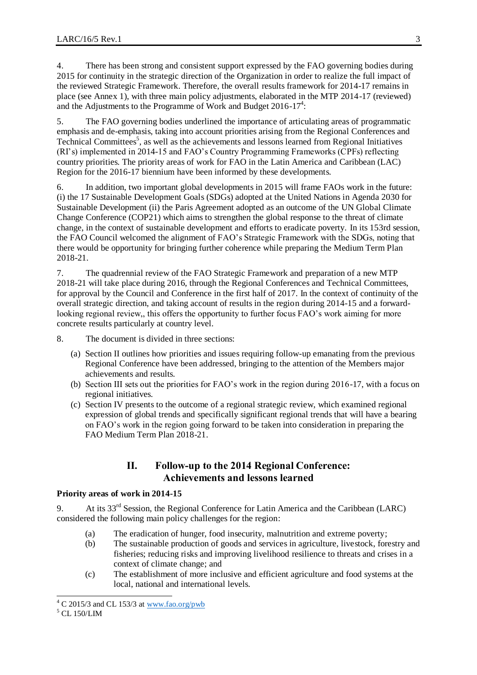4. There has been strong and consistent support expressed by the FAO governing bodies during 2015 for continuity in the strategic direction of the Organization in order to realize the full impact of the reviewed Strategic Framework. Therefore, the overall results framework for 2014-17 remains in place (see Annex 1), with three main policy adjustments, elaborated in the MTP 2014-17 (reviewed) and the Adjustments to the Programme of Work and Budget  $2016-17^4$ :

5. The FAO governing bodies underlined the importance of articulating areas of programmatic emphasis and de-emphasis, taking into account priorities arising from the Regional Conferences and Technical Committees<sup>5</sup>, as well as the achievements and lessons learned from Regional Initiatives (RI's) implemented in 2014-15 and FAO's Country Programming Frameworks (CPFs) reflecting country priorities. The priority areas of work for FAO in the Latin America and Caribbean (LAC) Region for the 2016-17 biennium have been informed by these developments.

6. In addition, two important global developments in 2015 will frame FAOs work in the future: (i) the 17 Sustainable Development Goals (SDGs) adopted at the United Nations in Agenda 2030 for Sustainable Development (ii) the Paris Agreement adopted as an outcome of the UN Global Climate Change Conference (COP21) which aims to strengthen the global response to the threat of climate change, in the context of sustainable development and efforts to eradicate poverty. In its 153rd session, the FAO Council welcomed the alignment of FAO's Strategic Framework with the SDGs, noting that there would be opportunity for bringing further coherence while preparing the Medium Term Plan 2018-21.

7. The quadrennial review of the FAO Strategic Framework and preparation of a new MTP 2018-21 will take place during 2016, through the Regional Conferences and Technical Committees, for approval by the Council and Conference in the first half of 2017. In the context of continuity of the overall strategic direction, and taking account of results in the region during 2014-15 and a forwardlooking regional review,, this offers the opportunity to further focus FAO's work aiming for more concrete results particularly at country level.

8. The document is divided in three sections:

- (a) Section II outlines how priorities and issues requiring follow-up emanating from the previous Regional Conference have been addressed, bringing to the attention of the Members major achievements and results.
- (b) Section III sets out the priorities for FAO's work in the region during 2016-17, with a focus on regional initiatives.
- (c) Section IV presents to the outcome of a regional strategic review, which examined regional expression of global trends and specifically significant regional trends that will have a bearing on FAO's work in the region going forward to be taken into consideration in preparing the FAO Medium Term Plan 2018-21.

# **II. Follow-up to the 2014 Regional Conference: Achievements and lessons learned**

#### **Priority areas of work in 2014-15**

9. At its 33<sup>rd</sup> Session, the Regional Conference for Latin America and the Caribbean (LARC) considered the following main policy challenges for the region:

- (a) The eradication of hunger, food insecurity, malnutrition and extreme poverty;
- (b) The sustainable production of goods and services in agriculture, livestock, forestry and fisheries; reducing risks and improving livelihood resilience to threats and crises in a context of climate change; and
- (c) The establishment of more inclusive and efficient agriculture and food systems at the local, national and international levels.

 $^{4}$  C 2015/3 and CL 153/3 at [www.fao.org/pwb](http://www.fao.org/pwb)

 $5$  CL 150/LIM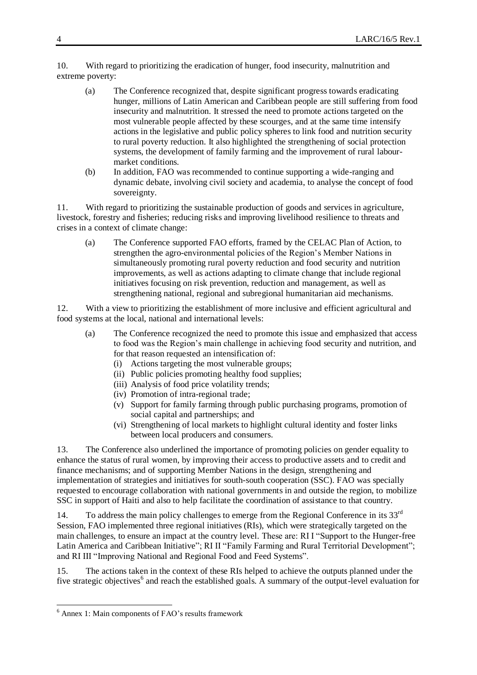10. With regard to prioritizing the eradication of hunger, food insecurity, malnutrition and extreme poverty:

- (a) The Conference recognized that, despite significant progress towards eradicating hunger, millions of Latin American and Caribbean people are still suffering from food insecurity and malnutrition. It stressed the need to promote actions targeted on the most vulnerable people affected by these scourges, and at the same time intensify actions in the legislative and public policy spheres to link food and nutrition security to rural poverty reduction. It also highlighted the strengthening of social protection systems, the development of family farming and the improvement of rural labourmarket conditions.
- (b) In addition, FAO was recommended to continue supporting a wide-ranging and dynamic debate, involving civil society and academia, to analyse the concept of food sovereignty.

11. With regard to prioritizing the sustainable production of goods and services in agriculture, livestock, forestry and fisheries; reducing risks and improving livelihood resilience to threats and crises in a context of climate change:

(a) The Conference supported FAO efforts, framed by the CELAC Plan of Action, to strengthen the agro-environmental policies of the Region's Member Nations in simultaneously promoting rural poverty reduction and food security and nutrition improvements, as well as actions adapting to climate change that include regional initiatives focusing on risk prevention, reduction and management, as well as strengthening national, regional and subregional humanitarian aid mechanisms.

12. With a view to prioritizing the establishment of more inclusive and efficient agricultural and food systems at the local, national and international levels:

- (a) The Conference recognized the need to promote this issue and emphasized that access to food was the Region's main challenge in achieving food security and nutrition, and for that reason requested an intensification of:
	- (i) Actions targeting the most vulnerable groups;
	- (ii) Public policies promoting healthy food supplies;
	- (iii) Analysis of food price volatility trends;
	- (iv) Promotion of intra-regional trade;
	- (v) Support for family farming through public purchasing programs, promotion of social capital and partnerships; and
	- (vi) Strengthening of local markets to highlight cultural identity and foster links between local producers and consumers.

13. The Conference also underlined the importance of promoting policies on gender equality to enhance the status of rural women, by improving their access to productive assets and to credit and finance mechanisms; and of supporting Member Nations in the design, strengthening and implementation of strategies and initiatives for south-south cooperation (SSC). FAO was specially requested to encourage collaboration with national governments in and outside the region, to mobilize SSC in support of Haiti and also to help facilitate the coordination of assistance to that country.

14. To address the main policy challenges to emerge from the Regional Conference in its  $33<sup>rd</sup>$ Session, FAO implemented three regional initiatives (RIs), which were strategically targeted on the main challenges, to ensure an impact at the country level. These are: RI I "Support to the Hunger-free Latin America and Caribbean Initiative"; RI II "Family Farming and Rural Territorial Development"; and RI III "Improving National and Regional Food and Feed Systems".

15. The actions taken in the context of these RIs helped to achieve the outputs planned under the five strategic objectives<sup>6</sup> and reach the established goals. A summary of the output-level evaluation for

<sup>6</sup> Annex 1: Main components of FAO's results framework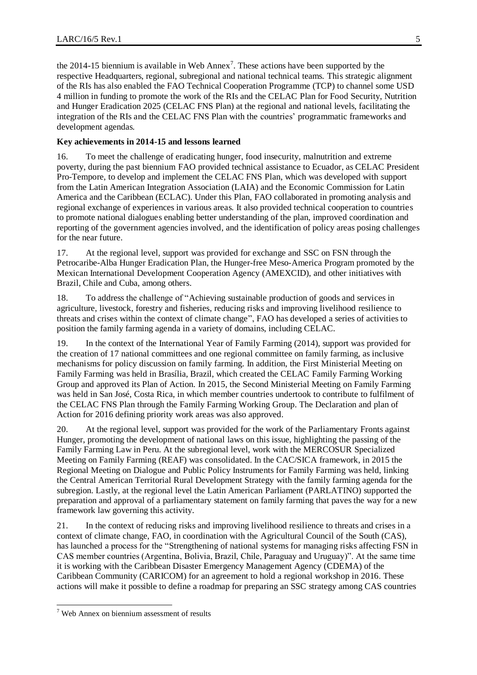the 2014-15 biennium is available in Web Annex<sup>7</sup>. These actions have been supported by the respective Headquarters, regional, subregional and national technical teams. This strategic alignment of the RIs has also enabled the FAO Technical Cooperation Programme (TCP) to channel some USD 4 million in funding to promote the work of the RIs and the CELAC Plan for Food Security, Nutrition and Hunger Eradication 2025 (CELAC FNS Plan) at the regional and national levels, facilitating the integration of the RIs and the CELAC FNS Plan with the countries' programmatic frameworks and development agendas.

#### **Key achievements in 2014-15 and lessons learned**

16. To meet the challenge of eradicating hunger, food insecurity, malnutrition and extreme poverty, during the past biennium FAO provided technical assistance to Ecuador, as CELAC President Pro-Tempore, to develop and implement the CELAC FNS Plan, which was developed with support from the Latin American Integration Association (LAIA) and the Economic Commission for Latin America and the Caribbean (ECLAC). Under this Plan, FAO collaborated in promoting analysis and regional exchange of experiences in various areas. It also provided technical cooperation to countries to promote national dialogues enabling better understanding of the plan, improved coordination and reporting of the government agencies involved, and the identification of policy areas posing challenges for the near future.

17. At the regional level, support was provided for exchange and SSC on FSN through the Petrocaribe-Alba Hunger Eradication Plan, the Hunger-free Meso-America Program promoted by the Mexican International Development Cooperation Agency (AMEXCID), and other initiatives with Brazil, Chile and Cuba, among others.

18. To address the challenge of "Achieving sustainable production of goods and services in agriculture, livestock, forestry and fisheries, reducing risks and improving livelihood resilience to threats and crises within the context of climate change", FAO has developed a series of activities to position the family farming agenda in a variety of domains, including CELAC.

19. In the context of the International Year of Family Farming (2014), support was provided for the creation of 17 national committees and one regional committee on family farming, as inclusive mechanisms for policy discussion on family farming. In addition, the First Ministerial Meeting on Family Farming was held in Brasília, Brazil, which created the CELAC Family Farming Working Group and approved its Plan of Action. In 2015, the Second Ministerial Meeting on Family Farming was held in San José, Costa Rica, in which member countries undertook to contribute to fulfilment of the CELAC FNS Plan through the Family Farming Working Group. The Declaration and plan of Action for 2016 defining priority work areas was also approved.

20. At the regional level, support was provided for the work of the Parliamentary Fronts against Hunger, promoting the development of national laws on this issue, highlighting the passing of the Family Farming Law in Peru. At the subregional level, work with the MERCOSUR Specialized Meeting on Family Farming (REAF) was consolidated. In the CAC/SICA framework, in 2015 the Regional Meeting on Dialogue and Public Policy Instruments for Family Farming was held, linking the Central American Territorial Rural Development Strategy with the family farming agenda for the subregion. Lastly, at the regional level the Latin American Parliament (PARLATINO) supported the preparation and approval of a parliamentary statement on family farming that paves the way for a new framework law governing this activity.

21. In the context of reducing risks and improving livelihood resilience to threats and crises in a context of climate change, FAO, in coordination with the Agricultural Council of the South (CAS), has launched a process for the "Strengthening of national systems for managing risks affecting FSN in CAS member countries (Argentina, Bolivia, Brazil, Chile, Paraguay and Uruguay)". At the same time it is working with the Caribbean Disaster Emergency Management Agency (CDEMA) of the Caribbean Community (CARICOM) for an agreement to hold a regional workshop in 2016. These actions will make it possible to define a roadmap for preparing an SSC strategy among CAS countries

 $7$  Web Annex on biennium assessment of results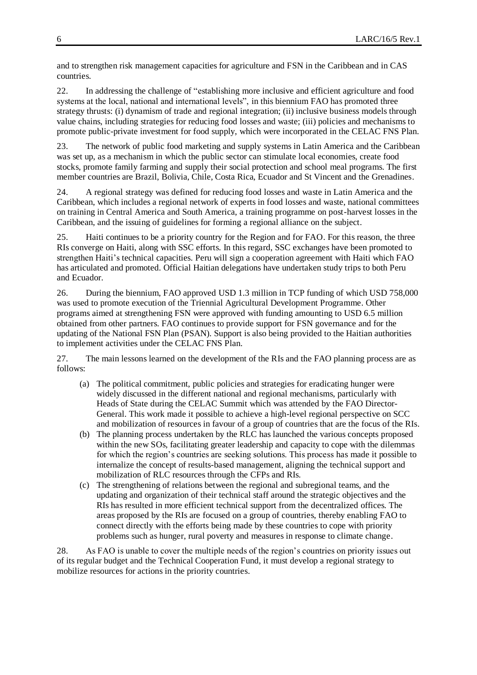and to strengthen risk management capacities for agriculture and FSN in the Caribbean and in CAS countries.

22. In addressing the challenge of "establishing more inclusive and efficient agriculture and food systems at the local, national and international levels", in this biennium FAO has promoted three strategy thrusts: (i) dynamism of trade and regional integration; (ii) inclusive business models through value chains, including strategies for reducing food losses and waste; (iii) policies and mechanisms to promote public-private investment for food supply, which were incorporated in the CELAC FNS Plan.

23. The network of public food marketing and supply systems in Latin America and the Caribbean was set up, as a mechanism in which the public sector can stimulate local economies, create food stocks, promote family farming and supply their social protection and school meal programs. The first member countries are Brazil, Bolivia, Chile, Costa Rica, Ecuador and St Vincent and the Grenadines.

24. A regional strategy was defined for reducing food losses and waste in Latin America and the Caribbean, which includes a regional network of experts in food losses and waste, national committees on training in Central America and South America, a training programme on post-harvest losses in the Caribbean, and the issuing of guidelines for forming a regional alliance on the subject.

25. Haiti continues to be a priority country for the Region and for FAO. For this reason, the three RIs converge on Haiti, along with SSC efforts. In this regard, SSC exchanges have been promoted to strengthen Haiti's technical capacities. Peru will sign a cooperation agreement with Haiti which FAO has articulated and promoted. Official Haitian delegations have undertaken study trips to both Peru and Ecuador.

26. During the biennium, FAO approved USD 1.3 million in TCP funding of which USD 758,000 was used to promote execution of the Triennial Agricultural Development Programme. Other programs aimed at strengthening FSN were approved with funding amounting to USD 6.5 million obtained from other partners. FAO continues to provide support for FSN governance and for the updating of the National FSN Plan (PSAN). Support is also being provided to the Haitian authorities to implement activities under the CELAC FNS Plan.

27. The main lessons learned on the development of the RIs and the FAO planning process are as follows:

- (a) The political commitment, public policies and strategies for eradicating hunger were widely discussed in the different national and regional mechanisms, particularly with Heads of State during the CELAC Summit which was attended by the FAO Director-General. This work made it possible to achieve a high-level regional perspective on SCC and mobilization of resources in favour of a group of countries that are the focus of the RIs.
- (b) The planning process undertaken by the RLC has launched the various concepts proposed within the new SOs, facilitating greater leadership and capacity to cope with the dilemmas for which the region's countries are seeking solutions. This process has made it possible to internalize the concept of results-based management, aligning the technical support and mobilization of RLC resources through the CFPs and RIs.
- (c) The strengthening of relations between the regional and subregional teams, and the updating and organization of their technical staff around the strategic objectives and the RIs has resulted in more efficient technical support from the decentralized offices. The areas proposed by the RIs are focused on a group of countries, thereby enabling FAO to connect directly with the efforts being made by these countries to cope with priority problems such as hunger, rural poverty and measures in response to climate change.

28. As FAO is unable to cover the multiple needs of the region's countries on priority issues out of its regular budget and the Technical Cooperation Fund, it must develop a regional strategy to mobilize resources for actions in the priority countries.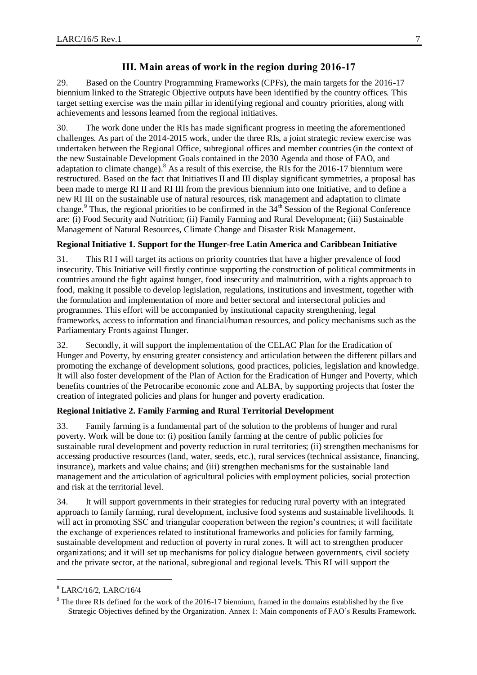## **III. Main areas of work in the region during 2016-17**

29. Based on the Country Programming Frameworks (CPFs), the main targets for the 2016-17 biennium linked to the Strategic Objective outputs have been identified by the country offices. This target setting exercise was the main pillar in identifying regional and country priorities, along with achievements and lessons learned from the regional initiatives.

30. The work done under the RIs has made significant progress in meeting the aforementioned challenges. As part of the 2014-2015 work, under the three RIs, a joint strategic review exercise was undertaken between the Regional Office, subregional offices and member countries (in the context of the new Sustainable Development Goals contained in the 2030 Agenda and those of FAO, and adaptation to climate change). <sup>8</sup> As a result of this exercise, the RIs for the 2016-17 biennium were restructured. Based on the fact that Initiatives II and III display significant symmetries, a proposal has been made to merge RI II and RI III from the previous biennium into one Initiative, and to define a new RI III on the sustainable use of natural resources, risk management and adaptation to climate change.<sup>9</sup> Thus, the regional priorities to be confirmed in the 34<sup>th</sup> Session of the Regional Conference are: (i) Food Security and Nutrition; (ii) Family Farming and Rural Development; (iii) Sustainable Management of Natural Resources, Climate Change and Disaster Risk Management.

#### **Regional Initiative 1. Support for the Hunger-free Latin America and Caribbean Initiative**

31. This RI I will target its actions on priority countries that have a higher prevalence of food insecurity. This Initiative will firstly continue supporting the construction of political commitments in countries around the fight against hunger, food insecurity and malnutrition, with a rights approach to food, making it possible to develop legislation, regulations, institutions and investment, together with the formulation and implementation of more and better sectoral and intersectoral policies and programmes. This effort will be accompanied by institutional capacity strengthening, legal frameworks, access to information and financial/human resources, and policy mechanisms such as the Parliamentary Fronts against Hunger.

32. Secondly, it will support the implementation of the CELAC Plan for the Eradication of Hunger and Poverty, by ensuring greater consistency and articulation between the different pillars and promoting the exchange of development solutions, good practices, policies, legislation and knowledge. It will also foster development of the Plan of Action for the Eradication of Hunger and Poverty, which benefits countries of the Petrocaribe economic zone and ALBA, by supporting projects that foster the creation of integrated policies and plans for hunger and poverty eradication.

#### **Regional Initiative 2. Family Farming and Rural Territorial Development**

33. Family farming is a fundamental part of the solution to the problems of hunger and rural poverty. Work will be done to: (i) position family farming at the centre of public policies for sustainable rural development and poverty reduction in rural territories; (ii) strengthen mechanisms for accessing productive resources (land, water, seeds, etc.), rural services (technical assistance, financing, insurance), markets and value chains; and (iii) strengthen mechanisms for the sustainable land management and the articulation of agricultural policies with employment policies, social protection and risk at the territorial level.

34. It will support governments in their strategies for reducing rural poverty with an integrated approach to family farming, rural development, inclusive food systems and sustainable livelihoods. It will act in promoting SSC and triangular cooperation between the region's countries; it will facilitate the exchange of experiences related to institutional frameworks and policies for family farming, sustainable development and reduction of poverty in rural zones. It will act to strengthen producer organizations; and it will set up mechanisms for policy dialogue between governments, civil society and the private sector, at the national, subregional and regional levels. This RI will support the

<sup>8</sup> LARC/16/2, LARC/16/4

 $9$  The three RIs defined for the work of the 2016-17 biennium, framed in the domains established by the five Strategic Objectives defined by the Organization. Annex 1: Main components of FAO's Results Framework.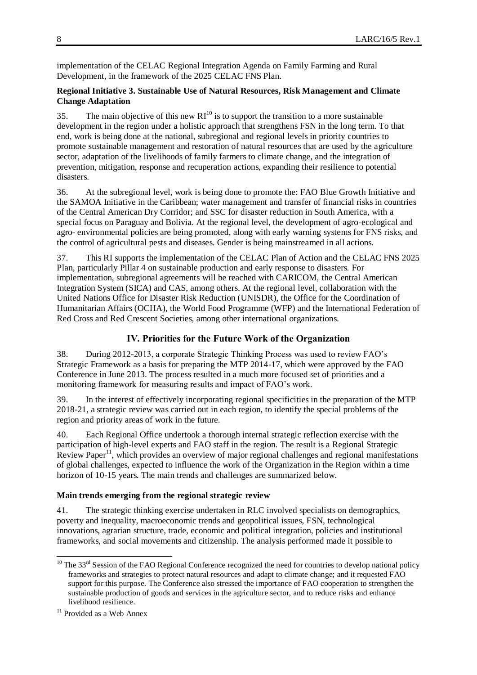implementation of the CELAC Regional Integration Agenda on Family Farming and Rural Development, in the framework of the 2025 CELAC FNS Plan.

### **Regional Initiative 3. Sustainable Use of Natural Resources, Risk Management and Climate Change Adaptation**

35. The main objective of this new  $RI^{10}$  is to support the transition to a more sustainable development in the region under a holistic approach that strengthens FSN in the long term. To that end, work is being done at the national, subregional and regional levels in priority countries to promote sustainable management and restoration of natural resources that are used by the agriculture sector, adaptation of the livelihoods of family farmers to climate change, and the integration of prevention, mitigation, response and recuperation actions, expanding their resilience to potential disasters.

36. At the subregional level, work is being done to promote the: FAO Blue Growth Initiative and the SAMOA Initiative in the Caribbean; water management and transfer of financial risks in countries of the Central American Dry Corridor; and SSC for disaster reduction in South America, with a special focus on Paraguay and Bolivia. At the regional level, the development of agro-ecological and agro- environmental policies are being promoted, along with early warning systems for FNS risks, and the control of agricultural pests and diseases. Gender is being mainstreamed in all actions.

37. This RI supports the implementation of the CELAC Plan of Action and the CELAC FNS 2025 Plan, particularly Pillar 4 on sustainable production and early response to disasters. For implementation, subregional agreements will be reached with CARICOM, the Central American Integration System (SICA) and CAS, among others. At the regional level, collaboration with the United Nations Office for Disaster Risk Reduction (UNISDR), the Office for the Coordination of Humanitarian Affairs (OCHA), the World Food Programme (WFP) and the International Federation of Red Cross and Red Crescent Societies, among other international organizations.

# **IV. Priorities for the Future Work of the Organization**

38. During 2012-2013, a corporate Strategic Thinking Process was used to review FAO's Strategic Framework as a basis for preparing the MTP 2014-17, which were approved by the FAO Conference in June 2013. The process resulted in a much more focused set of priorities and a monitoring framework for measuring results and impact of FAO's work.

39. In the interest of effectively incorporating regional specificities in the preparation of the MTP 2018-21, a strategic review was carried out in each region, to identify the special problems of the region and priority areas of work in the future.

40. Each Regional Office undertook a thorough internal strategic reflection exercise with the participation of high-level experts and FAO staff in the region. The result is a Regional Strategic Review Paper<sup>11</sup>, which provides an overview of major regional challenges and regional manifestations of global challenges, expected to influence the work of the Organization in the Region within a time horizon of 10-15 years. The main trends and challenges are summarized below.

# **Main trends emerging from the regional strategic review**

41. The strategic thinking exercise undertaken in RLC involved specialists on demographics, poverty and inequality, macroeconomic trends and geopolitical issues, FSN, technological innovations, agrarian structure, trade, economic and political integration, policies and institutional frameworks, and social movements and citizenship. The analysis performed made it possible to

 $\overline{a}$ 

 $10$  The 33<sup>rd</sup> Session of the FAO Regional Conference recognized the need for countries to develop national policy frameworks and strategies to protect natural resources and adapt to climate change; and it requested FAO support for this purpose. The Conference also stressed the importance of FAO cooperation to strengthen the sustainable production of goods and services in the agriculture sector, and to reduce risks and enhance livelihood resilience.

<sup>&</sup>lt;sup>11</sup> Provided as a Web Annex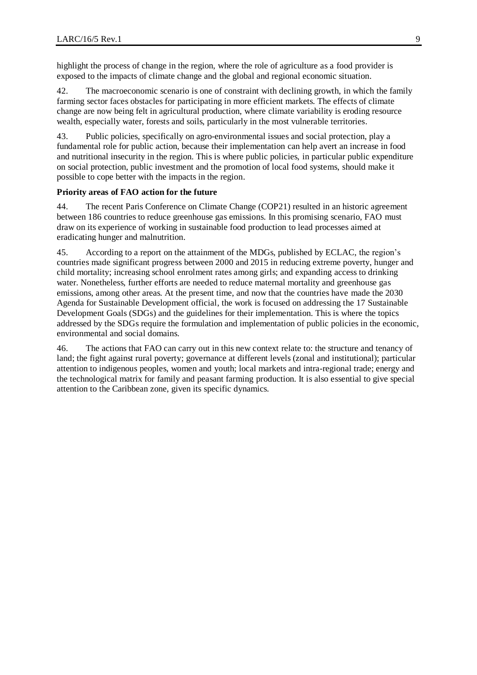highlight the process of change in the region, where the role of agriculture as a food provider is exposed to the impacts of climate change and the global and regional economic situation.

42. The macroeconomic scenario is one of constraint with declining growth, in which the family farming sector faces obstacles for participating in more efficient markets. The effects of climate change are now being felt in agricultural production, where climate variability is eroding resource wealth, especially water, forests and soils, particularly in the most vulnerable territories.

43. Public policies, specifically on agro-environmental issues and social protection, play a fundamental role for public action, because their implementation can help avert an increase in food and nutritional insecurity in the region. This is where public policies, in particular public expenditure on social protection, public investment and the promotion of local food systems, should make it possible to cope better with the impacts in the region.

#### **Priority areas of FAO action for the future**

44. The recent Paris Conference on Climate Change (COP21) resulted in an historic agreement between 186 countries to reduce greenhouse gas emissions. In this promising scenario, FAO must draw on its experience of working in sustainable food production to lead processes aimed at eradicating hunger and malnutrition.

45. According to a report on the attainment of the MDGs, published by ECLAC, the region's countries made significant progress between 2000 and 2015 in reducing extreme poverty, hunger and child mortality; increasing school enrolment rates among girls; and expanding access to drinking water. Nonetheless, further efforts are needed to reduce maternal mortality and greenhouse gas emissions, among other areas. At the present time, and now that the countries have made the 2030 Agenda for Sustainable Development official, the work is focused on addressing the 17 Sustainable Development Goals (SDGs) and the guidelines for their implementation. This is where the topics addressed by the SDGs require the formulation and implementation of public policies in the economic, environmental and social domains.

46. The actions that FAO can carry out in this new context relate to: the structure and tenancy of land; the fight against rural poverty; governance at different levels (zonal and institutional); particular attention to indigenous peoples, women and youth; local markets and intra-regional trade; energy and the technological matrix for family and peasant farming production. It is also essential to give special attention to the Caribbean zone, given its specific dynamics.